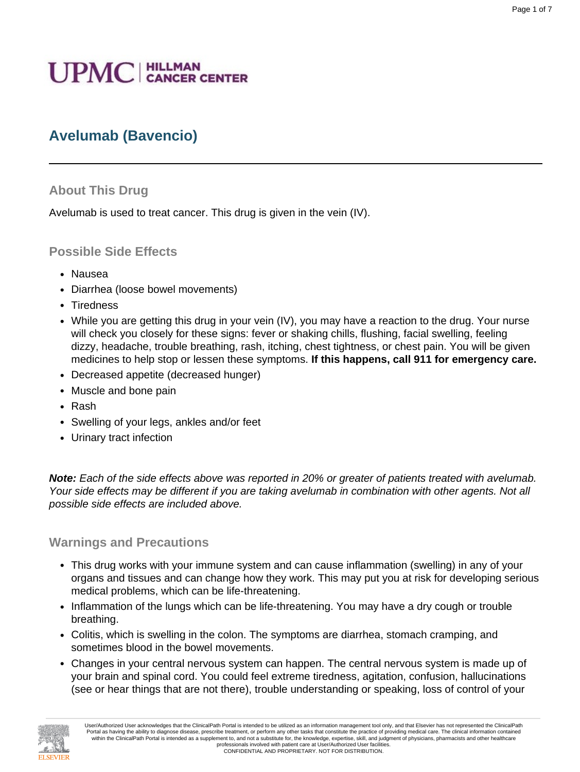# **UPMC** | HILLMAN

# **Avelumab (Bavencio)**

#### **About This Drug**

Avelumab is used to treat cancer. This drug is given in the vein (IV).

#### **Possible Side Effects**

- Nausea
- Diarrhea (loose bowel movements)
- Tiredness
- While you are getting this drug in your vein (IV), you may have a reaction to the drug. Your nurse will check you closely for these signs: fever or shaking chills, flushing, facial swelling, feeling dizzy, headache, trouble breathing, rash, itching, chest tightness, or chest pain. You will be given medicines to help stop or lessen these symptoms. **If this happens, call 911 for emergency care.**
- Decreased appetite (decreased hunger)
- Muscle and bone pain
- Rash
- Swelling of your legs, ankles and/or feet
- Urinary tract infection

**Note:** Each of the side effects above was reported in 20% or greater of patients treated with avelumab. Your side effects may be different if you are taking avelumab in combination with other agents. Not all possible side effects are included above.

#### **Warnings and Precautions**

- This drug works with your immune system and can cause inflammation (swelling) in any of your organs and tissues and can change how they work. This may put you at risk for developing serious medical problems, which can be life-threatening.
- Inflammation of the lungs which can be life-threatening. You may have a dry cough or trouble breathing.
- Colitis, which is swelling in the colon. The symptoms are diarrhea, stomach cramping, and sometimes blood in the bowel movements.
- Changes in your central nervous system can happen. The central nervous system is made up of your brain and spinal cord. You could feel extreme tiredness, agitation, confusion, hallucinations (see or hear things that are not there), trouble understanding or speaking, loss of control of your

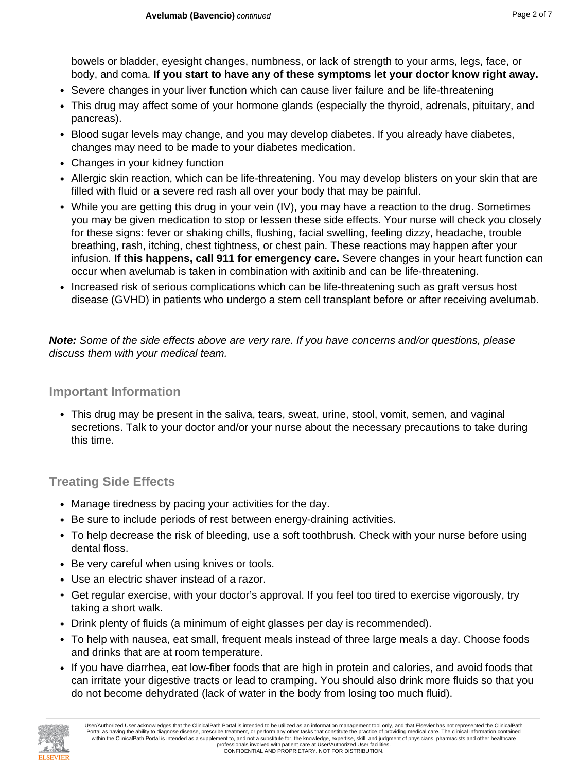bowels or bladder, eyesight changes, numbness, or lack of strength to your arms, legs, face, or body, and coma. **If you start to have any of these symptoms let your doctor know right away.**

- Severe changes in your liver function which can cause liver failure and be life-threatening
- This drug may affect some of your hormone glands (especially the thyroid, adrenals, pituitary, and pancreas).
- Blood sugar levels may change, and you may develop diabetes. If you already have diabetes, changes may need to be made to your diabetes medication.
- Changes in your kidney function
- Allergic skin reaction, which can be life-threatening. You may develop blisters on your skin that are filled with fluid or a severe red rash all over your body that may be painful.
- While you are getting this drug in your vein (IV), you may have a reaction to the drug. Sometimes you may be given medication to stop or lessen these side effects. Your nurse will check you closely for these signs: fever or shaking chills, flushing, facial swelling, feeling dizzy, headache, trouble breathing, rash, itching, chest tightness, or chest pain. These reactions may happen after your infusion. **If this happens, call 911 for emergency care.** Severe changes in your heart function can occur when avelumab is taken in combination with axitinib and can be life-threatening.
- Increased risk of serious complications which can be life-threatening such as graft versus host disease (GVHD) in patients who undergo a stem cell transplant before or after receiving avelumab.

**Note:** Some of the side effects above are very rare. If you have concerns and/or questions, please discuss them with your medical team.

## **Important Information**

• This drug may be present in the saliva, tears, sweat, urine, stool, vomit, semen, and vaginal secretions. Talk to your doctor and/or your nurse about the necessary precautions to take during this time.

## **Treating Side Effects**

- Manage tiredness by pacing your activities for the day.
- Be sure to include periods of rest between energy-draining activities.
- To help decrease the risk of bleeding, use a soft toothbrush. Check with your nurse before using dental floss.
- Be very careful when using knives or tools.
- Use an electric shaver instead of a razor.
- Get regular exercise, with your doctor's approval. If you feel too tired to exercise vigorously, try taking a short walk.
- Drink plenty of fluids (a minimum of eight glasses per day is recommended).
- To help with nausea, eat small, frequent meals instead of three large meals a day. Choose foods and drinks that are at room temperature.
- If you have diarrhea, eat low-fiber foods that are high in protein and calories, and avoid foods that can irritate your digestive tracts or lead to cramping. You should also drink more fluids so that you do not become dehydrated (lack of water in the body from losing too much fluid).

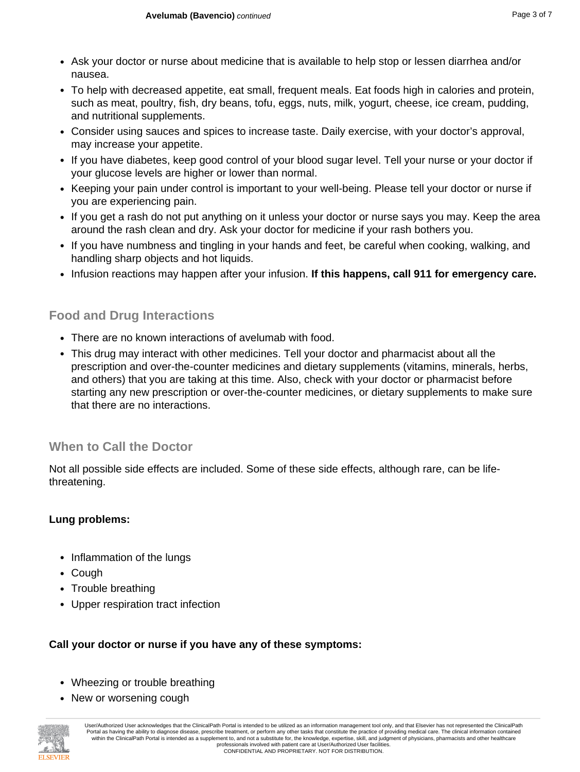- Ask your doctor or nurse about medicine that is available to help stop or lessen diarrhea and/or nausea.
- To help with decreased appetite, eat small, frequent meals. Eat foods high in calories and protein, such as meat, poultry, fish, dry beans, tofu, eggs, nuts, milk, yogurt, cheese, ice cream, pudding, and nutritional supplements.
- Consider using sauces and spices to increase taste. Daily exercise, with your doctor's approval, may increase your appetite.
- If you have diabetes, keep good control of your blood sugar level. Tell your nurse or your doctor if your glucose levels are higher or lower than normal.
- Keeping your pain under control is important to your well-being. Please tell your doctor or nurse if you are experiencing pain.
- If you get a rash do not put anything on it unless your doctor or nurse says you may. Keep the area around the rash clean and dry. Ask your doctor for medicine if your rash bothers you.
- If you have numbness and tingling in your hands and feet, be careful when cooking, walking, and handling sharp objects and hot liquids.
- Infusion reactions may happen after your infusion. **If this happens, call 911 for emergency care.**

## **Food and Drug Interactions**

- There are no known interactions of avelumab with food.
- This drug may interact with other medicines. Tell your doctor and pharmacist about all the prescription and over-the-counter medicines and dietary supplements (vitamins, minerals, herbs, and others) that you are taking at this time. Also, check with your doctor or pharmacist before starting any new prescription or over-the-counter medicines, or dietary supplements to make sure that there are no interactions.

## **When to Call the Doctor**

Not all possible side effects are included. Some of these side effects, although rare, can be lifethreatening.

## **Lung problems:**

- Inflammation of the lungs
- Cough
- Trouble breathing
- Upper respiration tract infection

## **Call your doctor or nurse if you have any of these symptoms:**

- Wheezing or trouble breathing
- New or worsening cough

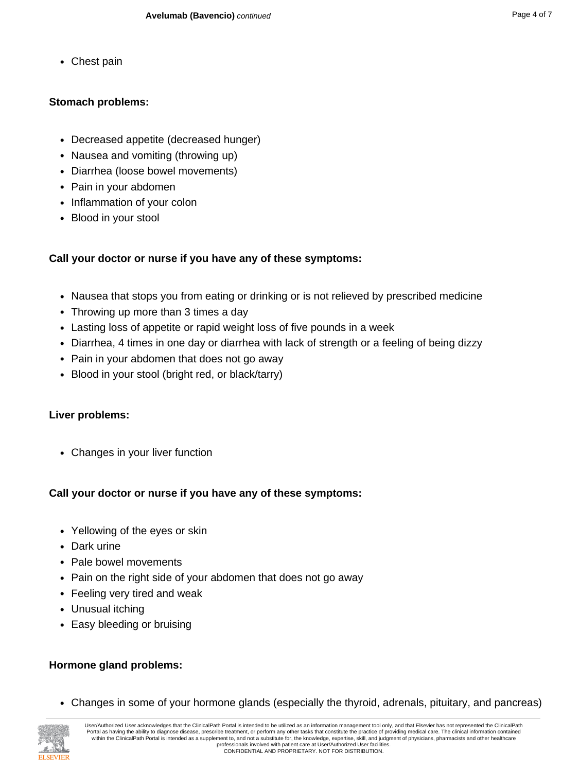• Chest pain

## **Stomach problems:**

- Decreased appetite (decreased hunger)
- Nausea and vomiting (throwing up)
- Diarrhea (loose bowel movements)
- Pain in your abdomen
- Inflammation of your colon
- Blood in your stool

## **Call your doctor or nurse if you have any of these symptoms:**

- Nausea that stops you from eating or drinking or is not relieved by prescribed medicine
- Throwing up more than 3 times a day
- Lasting loss of appetite or rapid weight loss of five pounds in a week
- Diarrhea, 4 times in one day or diarrhea with lack of strength or a feeling of being dizzy
- Pain in your abdomen that does not go away
- Blood in your stool (bright red, or black/tarry)

## **Liver problems:**

• Changes in your liver function

## **Call your doctor or nurse if you have any of these symptoms:**

- Yellowing of the eyes or skin
- Dark urine
- Pale bowel movements
- Pain on the right side of your abdomen that does not go away
- Feeling very tired and weak
- Unusual itching
- Easy bleeding or bruising

## **Hormone gland problems:**

• Changes in some of your hormone glands (especially the thyroid, adrenals, pituitary, and pancreas)

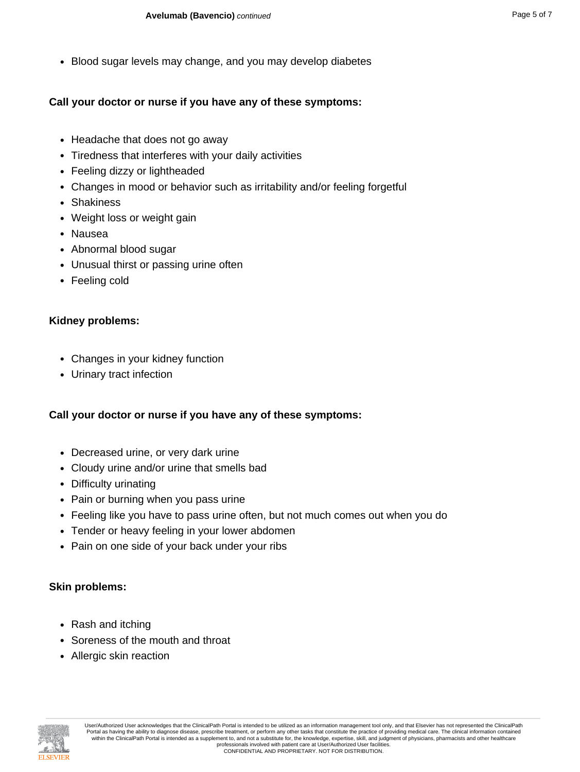• Blood sugar levels may change, and you may develop diabetes

#### **Call your doctor or nurse if you have any of these symptoms:**

- Headache that does not go away
- Tiredness that interferes with your daily activities
- Feeling dizzy or lightheaded
- Changes in mood or behavior such as irritability and/or feeling forgetful
- Shakiness
- Weight loss or weight gain
- Nausea
- Abnormal blood sugar
- Unusual thirst or passing urine often
- Feeling cold

#### **Kidney problems:**

- Changes in your kidney function
- Urinary tract infection

#### **Call your doctor or nurse if you have any of these symptoms:**

- Decreased urine, or very dark urine
- Cloudy urine and/or urine that smells bad
- Difficulty urinating
- Pain or burning when you pass urine
- Feeling like you have to pass urine often, but not much comes out when you do
- Tender or heavy feeling in your lower abdomen
- Pain on one side of your back under your ribs

#### **Skin problems:**

- Rash and itching
- Soreness of the mouth and throat
- Allergic skin reaction

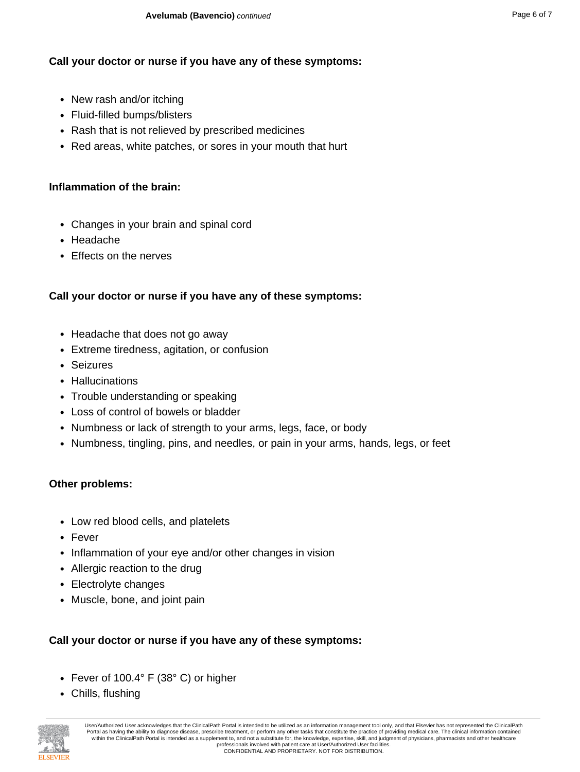### **Call your doctor or nurse if you have any of these symptoms:**

- New rash and/or itching
- Fluid-filled bumps/blisters
- Rash that is not relieved by prescribed medicines
- Red areas, white patches, or sores in your mouth that hurt

## **Inflammation of the brain:**

- Changes in your brain and spinal cord
- Headache
- Effects on the nerves

## **Call your doctor or nurse if you have any of these symptoms:**

- Headache that does not go away
- Extreme tiredness, agitation, or confusion
- Seizures
- Hallucinations
- Trouble understanding or speaking
- Loss of control of bowels or bladder
- Numbness or lack of strength to your arms, legs, face, or body
- Numbness, tingling, pins, and needles, or pain in your arms, hands, legs, or feet

#### **Other problems:**

- Low red blood cells, and platelets
- Fever
- Inflammation of your eye and/or other changes in vision
- Allergic reaction to the drug
- Electrolyte changes
- Muscle, bone, and joint pain

#### **Call your doctor or nurse if you have any of these symptoms:**

- Fever of 100.4° F (38° C) or higher
- Chills, flushing